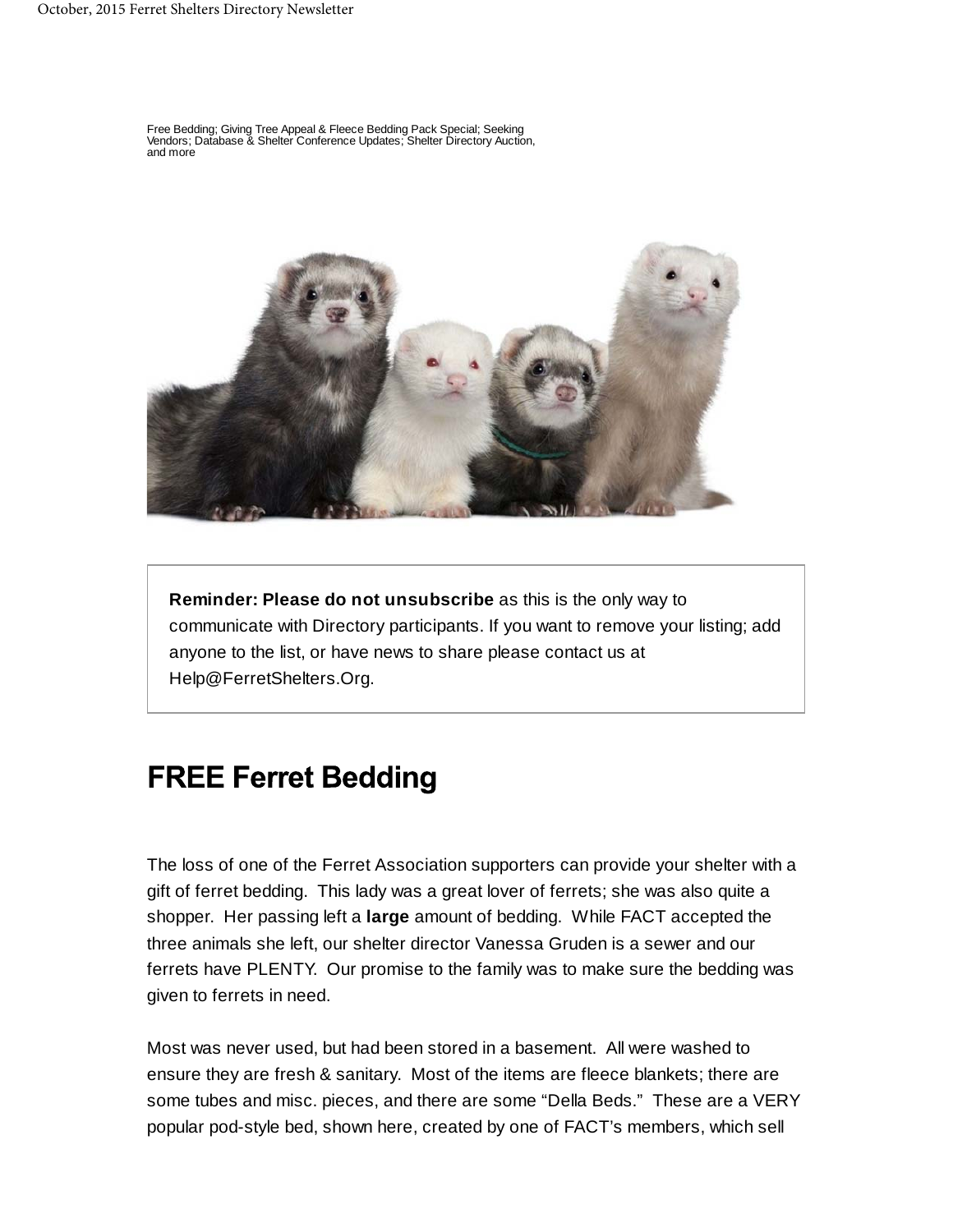Free Bedding; Giving Tree Appeal & Fleece Bedding Pack Special; Seeking Vendors; Database & Shelter Conference Updates; Shelter Directory Auction, and more



**Reminder: Please do not unsubscribe** as this is the only way to communicate with Directory participants. If you want to remove your listing; add anyone to the list, or have news to share please contact us at Help@FerretShelters.Org.

#### **FREE Ferret Bedding**

The loss of one of the Ferret Association supporters can provide your shelter with a gift of ferret bedding. This lady was a great lover of ferrets; she was also quite a shopper. Her passing left a **large** amount of bedding. While FACT accepted the three animals she left, our shelter director Vanessa Gruden is a sewer and our ferrets have PLENTY. Our promise to the family was to make sure the bedding was given to ferrets in need.

Most was never used, but had been stored in a basement. All were washed to ensure they are fresh & sanitary. Most of the items are fleece blankets; there are some tubes and misc. pieces, and there are some "Della Beds." These are a VERY popular pod-style bed, shown here, created by one of FACT's members, which sell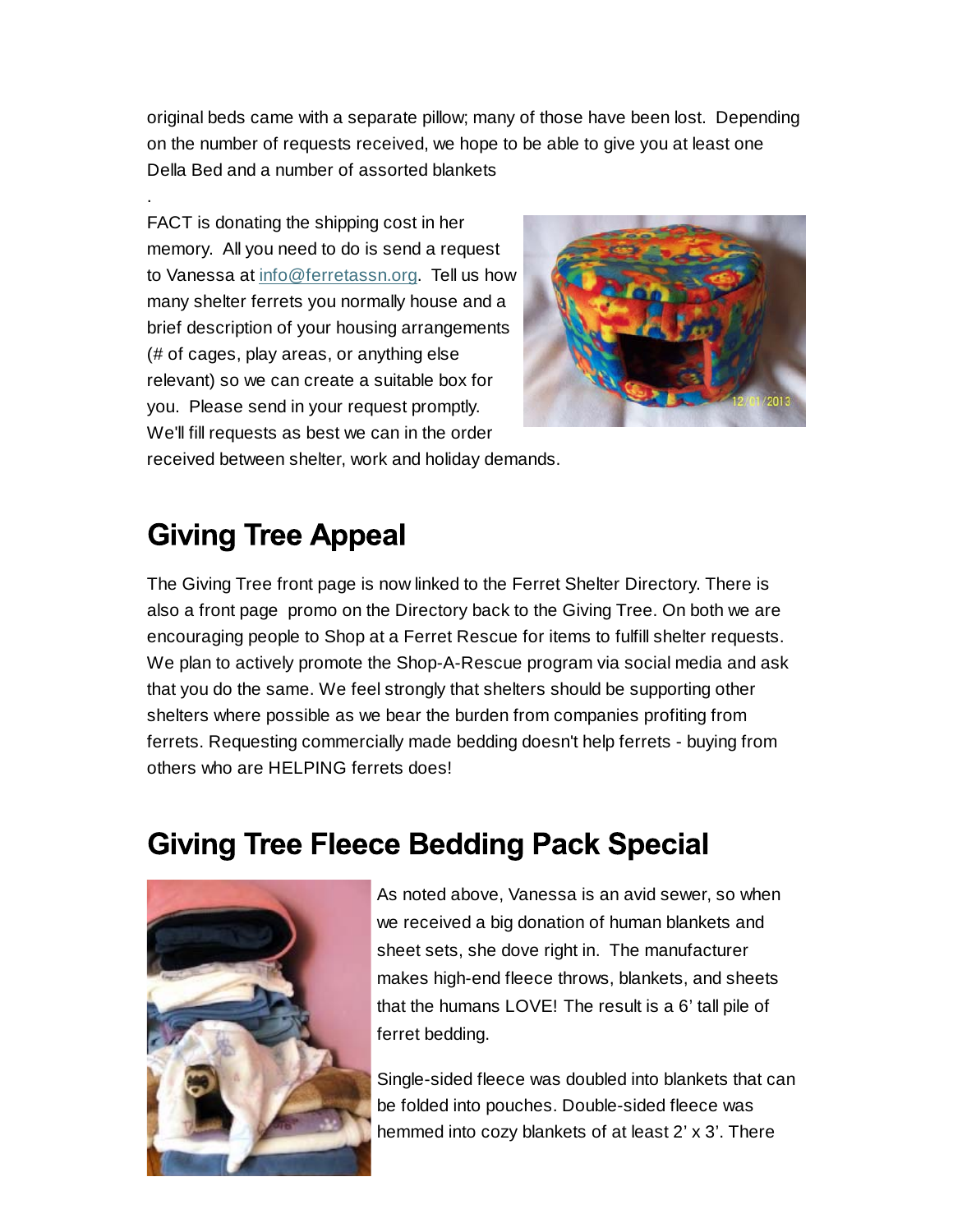original beds came with a separate pillow; many of those have been lost. Depending on the number of requests received, we hope to be able to give you at least one Della Bed and a number of assorted blankets

FACT is donating the shipping cost in her memory. All you need to do is send a request to Vanessa at info@ferretassn.org. Tell us how many shelter ferrets you normally house and a brief description of your housing arrangements (# of cages, play areas, or anything else relevant) so we can create a suitable box for you. Please send in your request promptly. We'll fill requests as best we can in the order



received between shelter, work and holiday demands.

### **Giving Tree Appeal**

.

The Giving Tree front page is now linked to the Ferret Shelter Directory. There is also a front page promo on the Directory back to the Giving Tree. On both we are encouraging people to Shop at a Ferret Rescue for items to fulfill shelter requests. We plan to actively promote the Shop-A-Rescue program via social media and ask that you do the same. We feel strongly that shelters should be supporting other shelters where possible as we bear the burden from companies profiting from ferrets. Requesting commercially made bedding doesn't help ferrets - buying from others who are HELPING ferrets does!

#### **Giving Tree Fleece Bedding Pack Special**



As noted above, Vanessa is an avid sewer, so when we received a big donation of human blankets and sheet sets, she dove right in. The manufacturer makes high-end fleece throws, blankets, and sheets that the humans LOVE! The result is a 6' tall pile of ferret bedding.

Single-sided fleece was doubled into blankets that can be folded into pouches. Double-sided fleece was hemmed into cozy blankets of at least 2' x 3'. There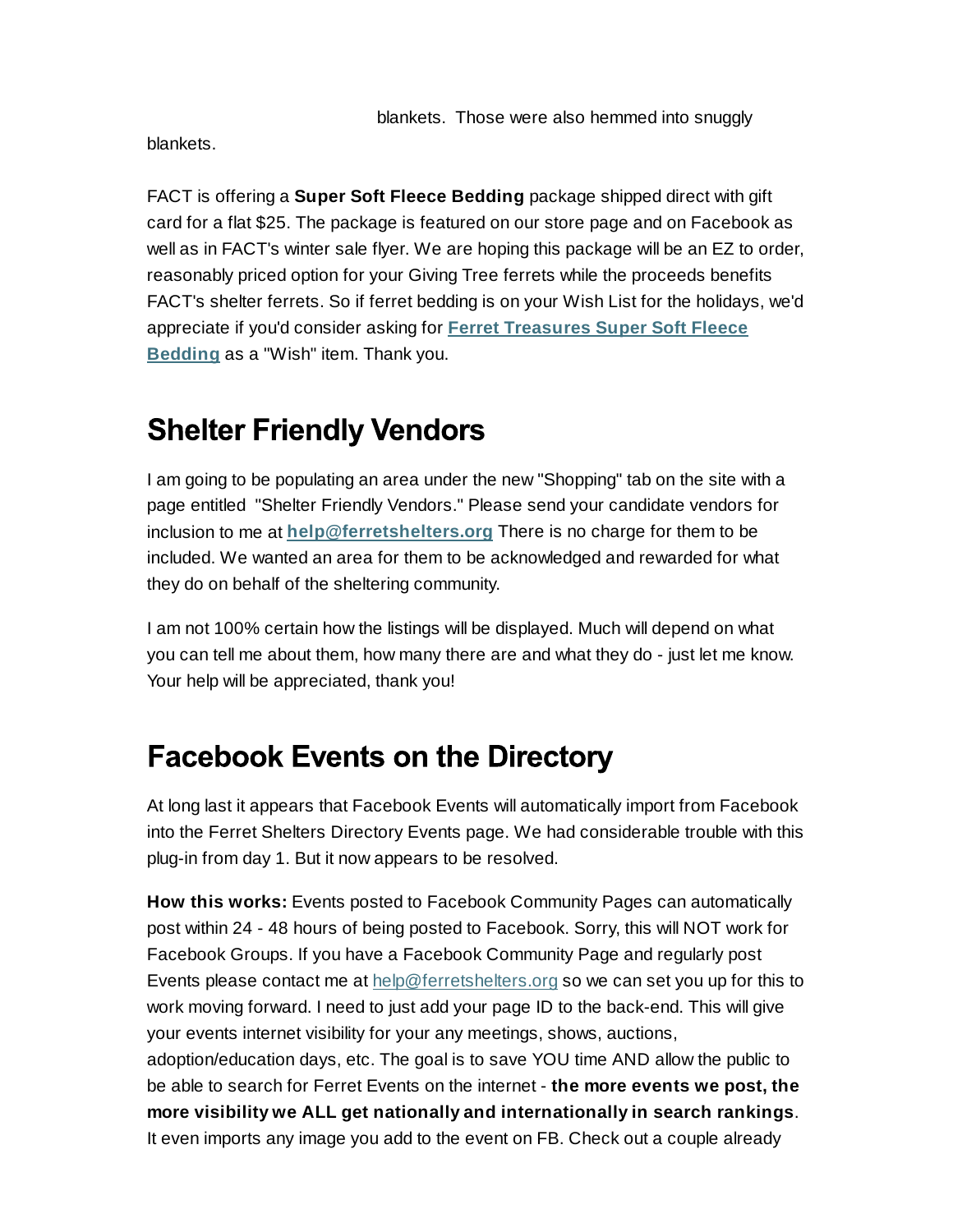blankets.

FACT is offering a **Super Soft Fleece Bedding** package shipped direct with gift card for a flat \$25. The package is featured on our store page and on Facebook as well as in FACT's winter sale flyer. We are hoping this package will be an EZ to order, reasonably priced option for your Giving Tree ferrets while the proceeds benefits FACT's shelter ferrets. So if ferret bedding is on your Wish List for the holidays, we'd appreciate if you'd consider asking for **Ferret Treasures Super Soft Fleece Bedding** as a "Wish" item. Thank you.

### **Shelter Friendly Vendors**

I am going to be populating an area under the new "Shopping" tab on the site with a page entitled "Shelter Friendly Vendors." Please send your candidate vendors for inclusion to me at **help@ferretshelters.org** There is no charge for them to be included. We wanted an area for them to be acknowledged and rewarded for what they do on behalf of the sheltering community.

I am not 100% certain how the listings will be displayed. Much will depend on what you can tell me about them, how many there are and what they do - just let me know. Your help will be appreciated, thank you!

#### **Facebook Events on the Directory**

At long last it appears that Facebook Events will automatically import from Facebook into the Ferret Shelters Directory Events page. We had considerable trouble with this plug-in from day 1. But it now appears to be resolved.

**How this works:** Events posted to Facebook Community Pages can automatically post within 24 - 48 hours of being posted to Facebook. Sorry, this will NOT work for Facebook Groups. If you have a Facebook Community Page and regularly post Events please contact me at help@ferretshelters.org so we can set you up for this to work moving forward. I need to just add your page ID to the back-end. This will give your events internet visibility for your any meetings, shows, auctions, adoption/education days, etc. The goal is to save YOU time AND allow the public to be able to search for Ferret Events on the internet - **the more events we post, the more visibility we ALL get nationally and internationally in search rankings**. It even imports any image you add to the event on FB. Check out a couple already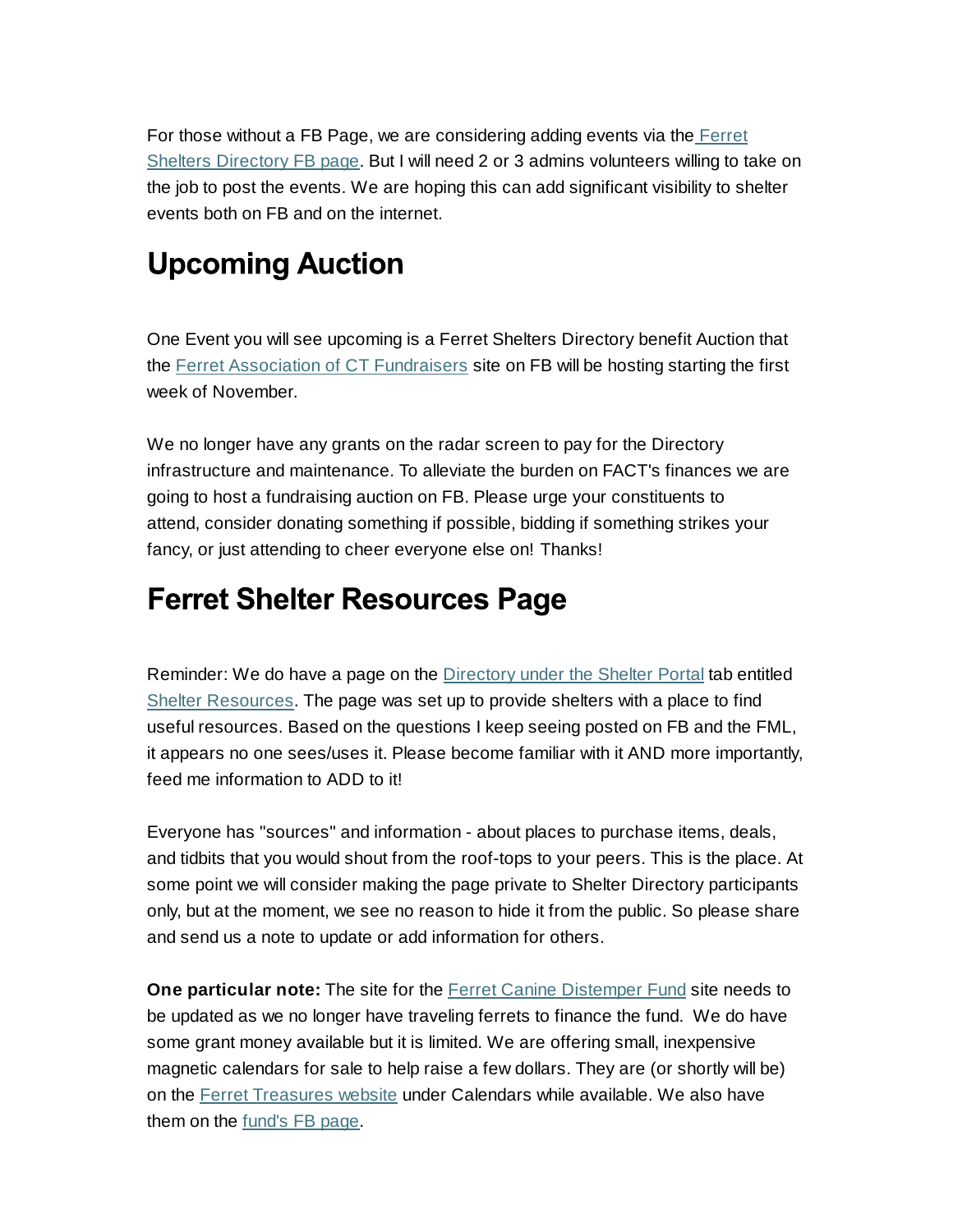For those without a FB Page, we are considering adding events via the Ferret Shelters Directory FB page. But I will need 2 or 3 admins volunteers willing to take on the job to post the events. We are hoping this can add significant visibility to shelter events both on FB and on the internet.

# **Upcoming Auction**

One Event you will see upcoming is a Ferret Shelters Directory benefit Auction that the Ferret Association of CT Fundraisers site on FB will be hosting starting the first week of November.

We no longer have any grants on the radar screen to pay for the Directory infrastructure and maintenance. To alleviate the burden on FACT's finances we are going to host a fundraising auction on FB. Please urge your constituents to attend, consider donating something if possible, bidding if something strikes your fancy, or just attending to cheer everyone else on! Thanks!

#### **Ferret Shelter Resources Page**

Reminder: We do have a page on the Directory under the Shelter Portal tab entitled Shelter Resources. The page was set up to provide shelters with a place to find useful resources. Based on the questions I keep seeing posted on FB and the FML, it appears no one sees/uses it. Please become familiar with it AND more importantly, feed me information to ADD to it!

Everyone has "sources" and information - about places to purchase items, deals, and tidbits that you would shout from the roof-tops to your peers. This is the place. At some point we will consider making the page private to Shelter Directory participants only, but at the moment, we see no reason to hide it from the public. So please share and send us a note to update or add information for others.

**One particular note:** The site for the **Ferret Canine Distemper Fund** site needs to be updated as we no longer have traveling ferrets to finance the fund. We do have some grant money available but it is limited. We are offering small, inexpensive magnetic calendars for sale to help raise a few dollars. They are (or shortly will be) on the Ferret Treasures website under Calendars while available. We also have them on the fund's FB page.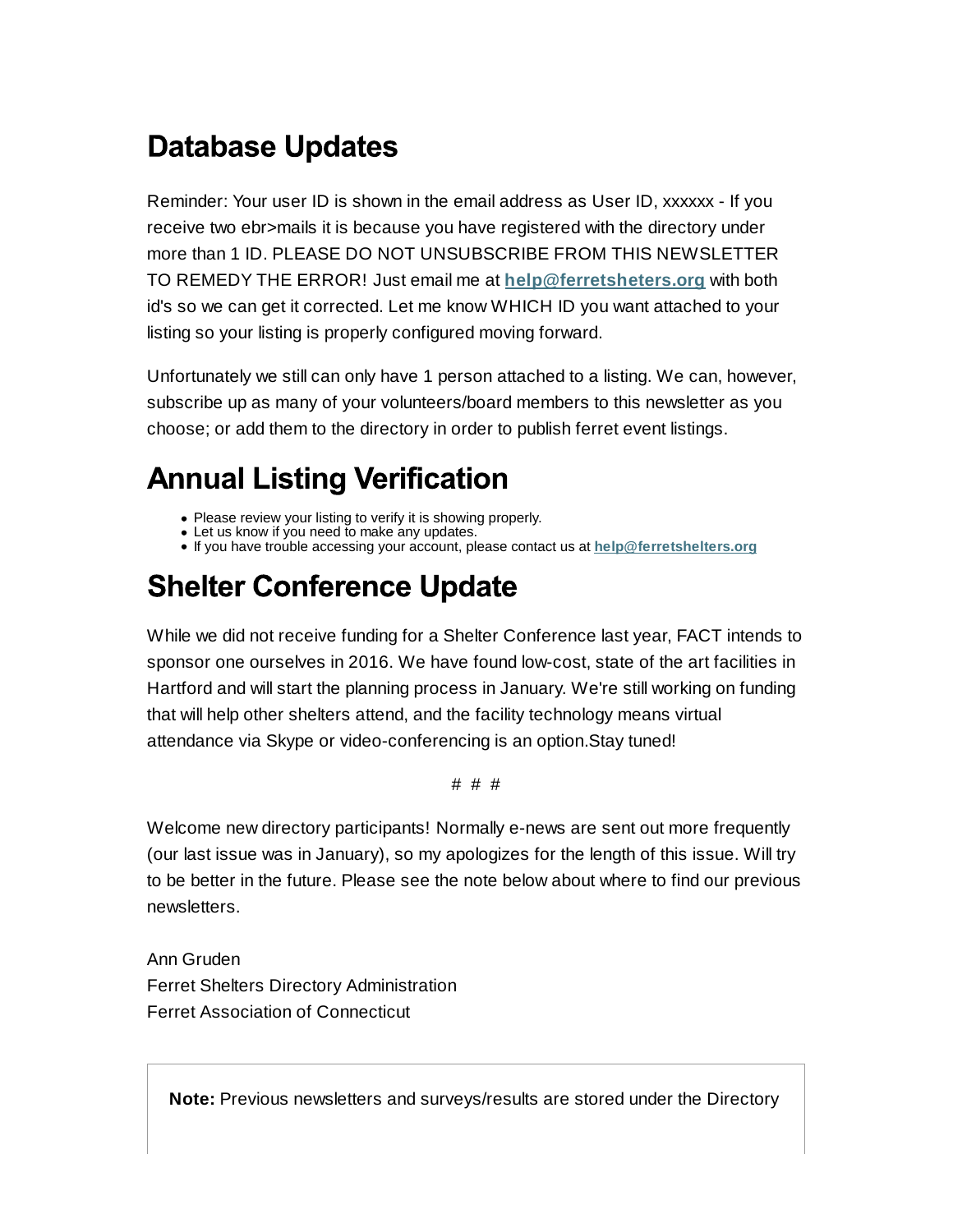# **Database Updates**

Reminder: Your user ID is shown in the email address as User ID, xxxxxx - If you receive two ebr>mails it is because you have registered with the directory under more than 1 ID. PLEASE DO NOT UNSUBSCRIBE FROM THIS NEWSLETTER TO REMEDY THE ERROR! Just email me at **help@ferretsheters.org** with both id's so we can get it corrected. Let me know WHICH ID you want attached to your listing so your listing is properly configured moving forward.

Unfortunately we still can only have 1 person attached to a listing. We can, however, subscribe up as many of your volunteers/board members to this newsletter as you choose; or add them to the directory in order to publish ferret event listings.

# **Annual Listing Verification**

- Please review your listing to verify it is showing properly.
- Let us know if you need to make any updates.
- If you have trouble accessing your account, please contact us at **help@ferretshelters.org**

# **Shelter Conference Update**

While we did not receive funding for a Shelter Conference last year, FACT intends to sponsor one ourselves in 2016. We have found low-cost, state of the art facilities in Hartford and will start the planning process in January. We're still working on funding that will help other shelters attend, and the facility technology means virtual attendance via Skype or video-conferencing is an option.Stay tuned!

#### # # #

Welcome new directory participants! Normally e-news are sent out more frequently (our last issue was in January), so my apologizes for the length of this issue. Will try to be better in the future. Please see the note below about where to find our previous newsletters.

Ann Gruden Ferret Shelters Directory Administration Ferret Association of Connecticut

**Note:** Previous newsletters and surveys/results are stored under the Directory